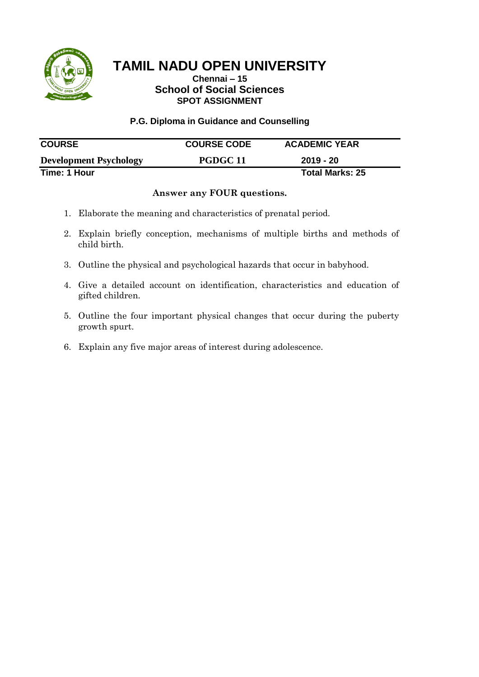

### **Chennai – 15 School of Social Sciences SPOT ASSIGNMENT**

#### **P.G. Diploma in Guidance and Counselling**

| <b>COURSE</b>                 | <b>COURSE CODE</b> | <b>ACADEMIC YEAR</b>   |  |
|-------------------------------|--------------------|------------------------|--|
| <b>Development Psychology</b> | PGDGC 11           | 2019 - 20              |  |
| Time: 1 Hour                  |                    | <b>Total Marks: 25</b> |  |

- 1. Elaborate the meaning and characteristics of prenatal period.
- 2. Explain briefly conception, mechanisms of multiple births and methods of child birth.
- 3. Outline the physical and psychological hazards that occur in babyhood.
- 4. Give a detailed account on identification, characteristics and education of gifted children.
- 5. Outline the four important physical changes that occur during the puberty growth spurt.
- 6. Explain any five major areas of interest during adolescence.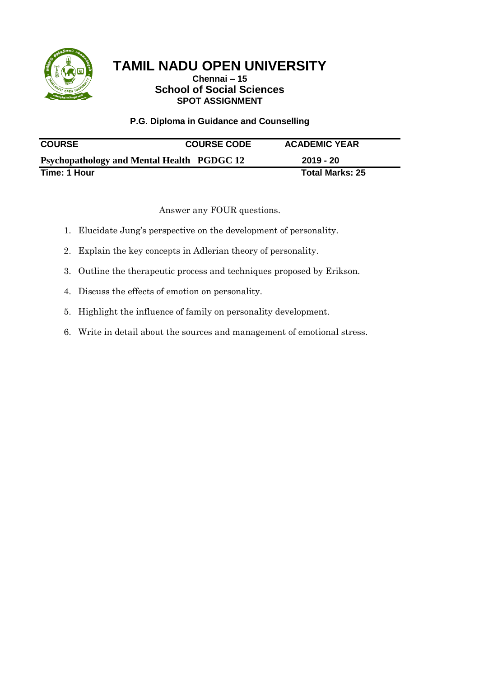

## **Chennai – 15 School of Social Sciences SPOT ASSIGNMENT**

## **P.G. Diploma in Guidance and Counselling**

| <b>COURSE</b>                                     | <b>COURSE CODE</b> | <b>ACADEMIC YEAR</b>   |
|---------------------------------------------------|--------------------|------------------------|
| <b>Psychopathology and Mental Health PGDGC 12</b> |                    | 2019 - 20              |
| Time: 1 Hour                                      |                    | <b>Total Marks: 25</b> |

- 1. Elucidate Jung's perspective on the development of personality.
- 2. Explain the key concepts in Adlerian theory of personality.
- 3. Outline the therapeutic process and techniques proposed by Erikson.
- 4. Discuss the effects of emotion on personality.
- 5. Highlight the influence of family on personality development.
- 6. Write in detail about the sources and management of emotional stress.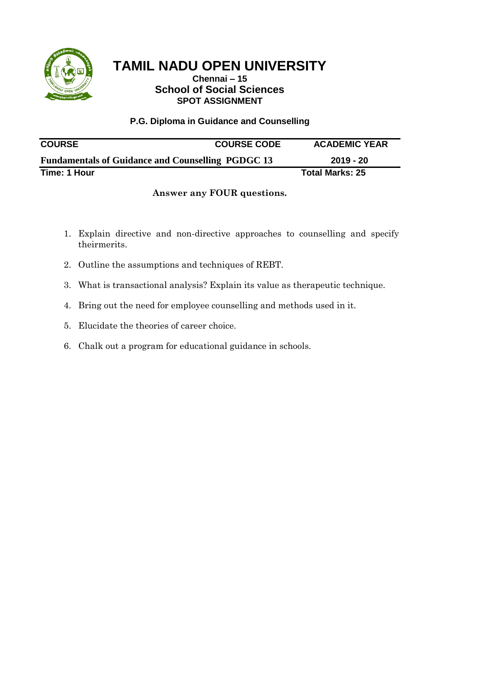

## **Chennai – 15 School of Social Sciences SPOT ASSIGNMENT**

### **P.G. Diploma in Guidance and Counselling**

| <b>COURSE</b>                                            | <b>COURSE CODE</b> | <b>ACADEMIC YEAR</b>   |
|----------------------------------------------------------|--------------------|------------------------|
| <b>Fundamentals of Guidance and Counselling PGDGC 13</b> |                    | 2019 - 20              |
| Time: 1 Hour                                             |                    | <b>Total Marks: 25</b> |

- 1. Explain directive and non-directive approaches to counselling and specify theirmerits.
- 2. Outline the assumptions and techniques of REBT.
- 3. What is transactional analysis? Explain its value as therapeutic technique.
- 4. Bring out the need for employee counselling and methods used in it.
- 5. Elucidate the theories of career choice.
- 6. Chalk out a program for educational guidance in schools.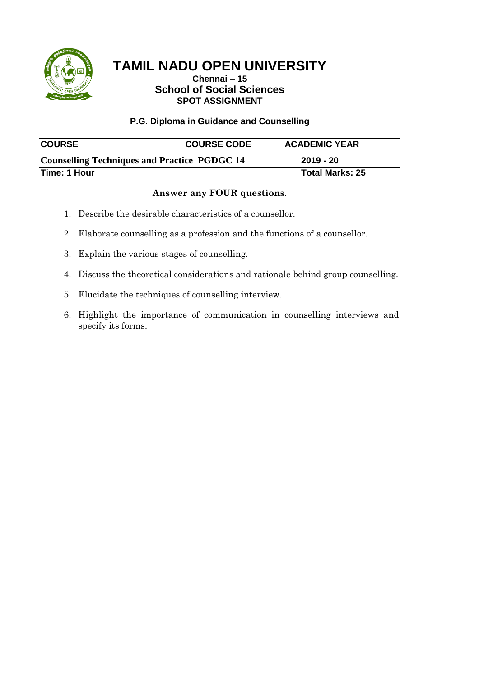

## **Chennai – 15 School of Social Sciences SPOT ASSIGNMENT**

### **P.G. Diploma in Guidance and Counselling**

| <b>COURSE</b>                                       | <b>COURSE CODE</b> | <b>ACADEMIC YEAR</b> |
|-----------------------------------------------------|--------------------|----------------------|
| <b>Counselling Techniques and Practice PGDGC 14</b> |                    | 2019 - 20            |
| Time: 1 Hour                                        |                    | Total Marks: 25      |

- 1. Describe the desirable characteristics of a counsellor.
- 2. Elaborate counselling as a profession and the functions of a counsellor.
- 3. Explain the various stages of counselling.
- 4. Discuss the theoretical considerations and rationale behind group counselling.
- 5. Elucidate the techniques of counselling interview.
- 6. Highlight the importance of communication in counselling interviews and specify its forms.